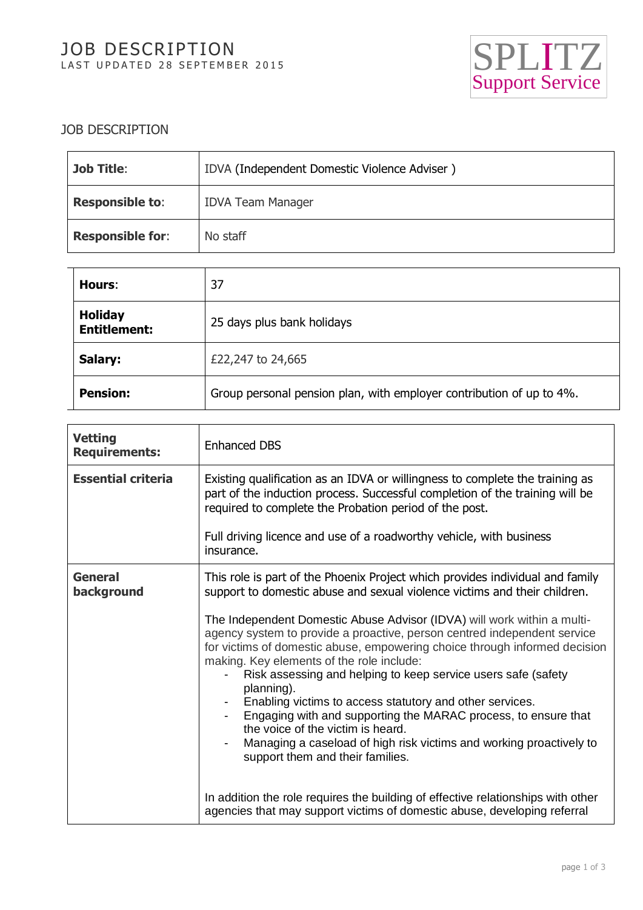# JOB DESCRIPTION LAST UPDATED 28 SEPTEMBER 2015



### JOB DESCRIPTION

| <b>Job Title:</b>       | IDVA (Independent Domestic Violence Adviser) |
|-------------------------|----------------------------------------------|
| <b>Responsible to:</b>  | <b>IDVA Team Manager</b>                     |
| <b>Responsible for:</b> | No staff                                     |

| Hours:                                | 37                                                                   |
|---------------------------------------|----------------------------------------------------------------------|
| <b>Holiday</b><br><b>Entitlement:</b> | 25 days plus bank holidays                                           |
| Salary:                               | £22,247 to 24,665                                                    |
| <b>Pension:</b>                       | Group personal pension plan, with employer contribution of up to 4%. |

| <b>Vetting</b><br><b>Requirements:</b> | <b>Enhanced DBS</b>                                                                                                                                                                                                                                                                                                                                                                                                                                                                                                                                                                                                                         |
|----------------------------------------|---------------------------------------------------------------------------------------------------------------------------------------------------------------------------------------------------------------------------------------------------------------------------------------------------------------------------------------------------------------------------------------------------------------------------------------------------------------------------------------------------------------------------------------------------------------------------------------------------------------------------------------------|
| <b>Essential criteria</b>              | Existing qualification as an IDVA or willingness to complete the training as<br>part of the induction process. Successful completion of the training will be<br>required to complete the Probation period of the post.                                                                                                                                                                                                                                                                                                                                                                                                                      |
|                                        | Full driving licence and use of a roadworthy vehicle, with business<br>insurance.                                                                                                                                                                                                                                                                                                                                                                                                                                                                                                                                                           |
| <b>General</b><br>background           | This role is part of the Phoenix Project which provides individual and family<br>support to domestic abuse and sexual violence victims and their children.                                                                                                                                                                                                                                                                                                                                                                                                                                                                                  |
|                                        | The Independent Domestic Abuse Advisor (IDVA) will work within a multi-<br>agency system to provide a proactive, person centred independent service<br>for victims of domestic abuse, empowering choice through informed decision<br>making. Key elements of the role include:<br>Risk assessing and helping to keep service users safe (safety<br>planning).<br>Enabling victims to access statutory and other services.<br>Engaging with and supporting the MARAC process, to ensure that<br>the voice of the victim is heard.<br>Managing a caseload of high risk victims and working proactively to<br>support them and their families. |
|                                        | In addition the role requires the building of effective relationships with other<br>agencies that may support victims of domestic abuse, developing referral                                                                                                                                                                                                                                                                                                                                                                                                                                                                                |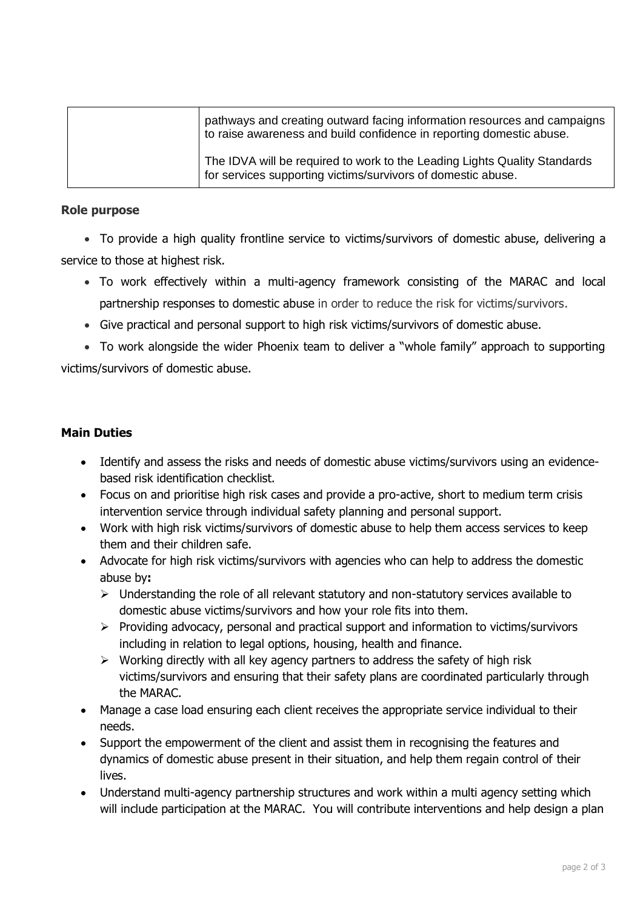| pathways and creating outward facing information resources and campaigns<br>to raise awareness and build confidence in reporting domestic abuse. |
|--------------------------------------------------------------------------------------------------------------------------------------------------|
| The IDVA will be required to work to the Leading Lights Quality Standards<br>for services supporting victims/survivors of domestic abuse.        |

#### **Role purpose**

• To provide a high quality frontline service to victims/survivors of domestic abuse, delivering a service to those at highest risk.

- To work effectively within a multi-agency framework consisting of the MARAC and local partnership responses to domestic abuse in order to reduce the risk for victims/survivors.
- Give practical and personal support to high risk victims/survivors of domestic abuse.

• To work alongside the wider Phoenix team to deliver a "whole family" approach to supporting victims/survivors of domestic abuse.

### **Main Duties**

- Identify and assess the risks and needs of domestic abuse victims/survivors using an evidencebased risk identification checklist.
- Focus on and prioritise high risk cases and provide a pro-active, short to medium term crisis intervention service through individual safety planning and personal support.
- Work with high risk victims/survivors of domestic abuse to help them access services to keep them and their children safe.
- Advocate for high risk victims/survivors with agencies who can help to address the domestic abuse by**:**
	- $\triangleright$  Understanding the role of all relevant statutory and non-statutory services available to domestic abuse victims/survivors and how your role fits into them.
	- $\triangleright$  Providing advocacy, personal and practical support and information to victims/survivors including in relation to legal options, housing, health and finance.
	- $\triangleright$  Working directly with all key agency partners to address the safety of high risk victims/survivors and ensuring that their safety plans are coordinated particularly through the MARAC.
- Manage a case load ensuring each client receives the appropriate service individual to their needs.
- Support the empowerment of the client and assist them in recognising the features and dynamics of domestic abuse present in their situation, and help them regain control of their lives.
- Understand multi-agency partnership structures and work within a multi agency setting which will include participation at the MARAC. You will contribute interventions and help design a plan